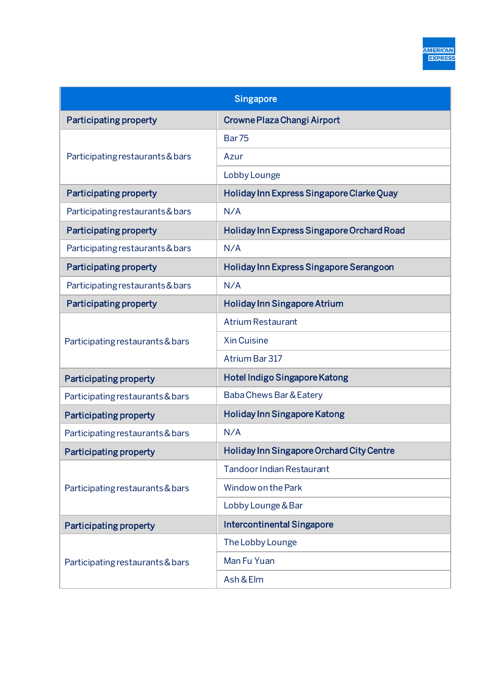| Singapore                        |                                            |
|----------------------------------|--------------------------------------------|
| <b>Participating property</b>    | Crowne Plaza Changi Airport                |
| Participating restaurants & bars | <b>Bar75</b>                               |
|                                  | Azur                                       |
|                                  | Lobby Lounge                               |
| <b>Participating property</b>    | Holiday Inn Express Singapore Clarke Quay  |
| Participating restaurants & bars | N/A                                        |
| <b>Participating property</b>    | Holiday Inn Express Singapore Orchard Road |
| Participating restaurants & bars | N/A                                        |
| <b>Participating property</b>    | Holiday Inn Express Singapore Serangoon    |
| Participating restaurants & bars | N/A                                        |
| <b>Participating property</b>    | <b>Holiday Inn Singapore Atrium</b>        |
| Participating restaurants & bars | <b>Atrium Restaurant</b>                   |
|                                  | <b>Xin Cuisine</b>                         |
|                                  | Atrium Bar 317                             |
| <b>Participating property</b>    | Hotel Indigo Singapore Katong              |
| Participating restaurants & bars | Baba Chews Bar & Eatery                    |
| <b>Participating property</b>    | Holiday Inn Singapore Katong               |
| Participating restaurants & bars | N/A                                        |
| <b>Participating property</b>    | Holiday Inn Singapore Orchard City Centre  |
| Participating restaurants & bars | <b>Tandoor Indian Restaurant</b>           |
|                                  | Window on the Park                         |
|                                  | Lobby Lounge & Bar                         |
| <b>Participating property</b>    | <b>Intercontinental Singapore</b>          |
| Participating restaurants & bars | The Lobby Lounge                           |
|                                  | Man Fu Yuan                                |
|                                  | Ash & Elm                                  |